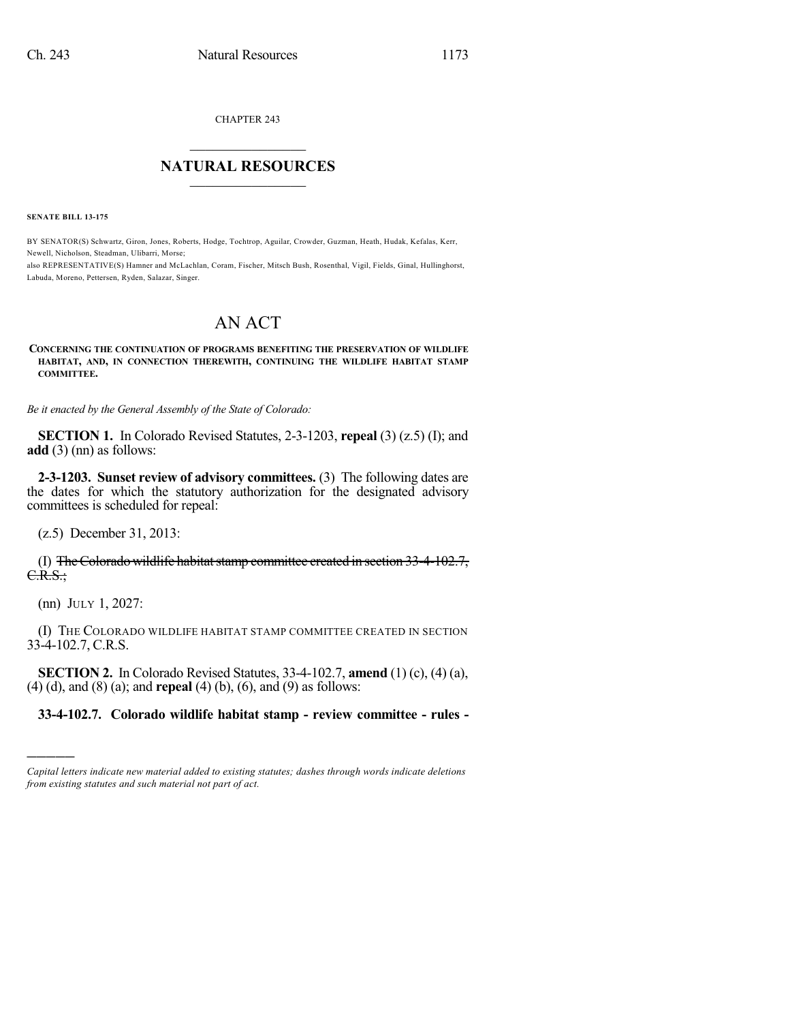CHAPTER 243

## $\overline{\phantom{a}}$  . The set of the set of the set of the set of the set of the set of the set of the set of the set of the set of the set of the set of the set of the set of the set of the set of the set of the set of the set o **NATURAL RESOURCES**  $\frac{1}{\sqrt{2}}$  , where  $\frac{1}{\sqrt{2}}$  ,  $\frac{1}{\sqrt{2}}$  ,  $\frac{1}{\sqrt{2}}$

**SENATE BILL 13-175**

BY SENATOR(S) Schwartz, Giron, Jones, Roberts, Hodge, Tochtrop, Aguilar, Crowder, Guzman, Heath, Hudak, Kefalas, Kerr, Newell, Nicholson, Steadman, Ulibarri, Morse;

also REPRESENTATIVE(S) Hamner and McLachlan, Coram, Fischer, Mitsch Bush, Rosenthal, Vigil, Fields, Ginal, Hullinghorst, Labuda, Moreno, Pettersen, Ryden, Salazar, Singer.

## AN ACT

## **CONCERNING THE CONTINUATION OF PROGRAMS BENEFITING THE PRESERVATION OF WILDLIFE HABITAT, AND, IN CONNECTION THEREWITH, CONTINUING THE WILDLIFE HABITAT STAMP COMMITTEE.**

*Be it enacted by the General Assembly of the State of Colorado:*

**SECTION 1.** In Colorado Revised Statutes, 2-3-1203, **repeal** (3) (z.5) (I); and **add** (3) (nn) as follows:

**2-3-1203. Sunset review of advisory committees.** (3) The following dates are the dates for which the statutory authorization for the designated advisory committees is scheduled for repeal:

(z.5) December 31, 2013:

(I) The Colorado wildlife habitat stamp committee created in section  $33-4-102.7$ , C.R.S.;

(nn) JULY 1, 2027:

)))))

(I) THE COLORADO WILDLIFE HABITAT STAMP COMMITTEE CREATED IN SECTION 33-4-102.7, C.R.S.

**SECTION 2.** In Colorado Revised Statutes, 33-4-102.7, **amend** (1) (c), (4) (a), (4) (d), and (8) (a); and **repeal** (4) (b), (6), and (9) as follows:

## **33-4-102.7. Colorado wildlife habitat stamp - review committee - rules -**

*Capital letters indicate new material added to existing statutes; dashes through words indicate deletions from existing statutes and such material not part of act.*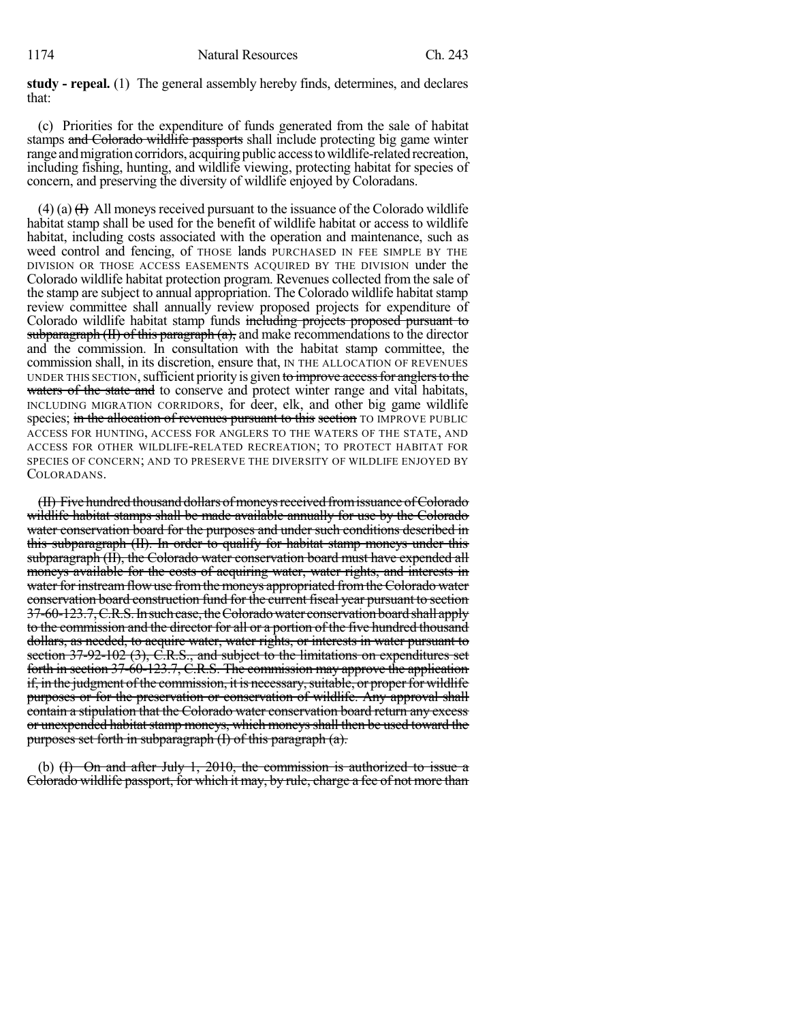**study - repeal.** (1) The general assembly hereby finds, determines, and declares that:

(c) Priorities for the expenditure of funds generated from the sale of habitat stamps and Colorado wildlife passports shall include protecting big game winter range and migration corridors, acquiring public access to wildlife-related recreation, including fishing, hunting, and wildlife viewing, protecting habitat for species of concern, and preserving the diversity of wildlife enjoyed by Coloradans.

(4) (a)  $(H)$  All moneys received pursuant to the issuance of the Colorado wildlife habitat stamp shall be used for the benefit of wildlife habitat or access to wildlife habitat, including costs associated with the operation and maintenance, such as weed control and fencing, of THOSE lands PURCHASED IN FEE SIMPLE BY THE DIVISION OR THOSE ACCESS EASEMENTS ACQUIRED BY THE DIVISION under the Colorado wildlife habitat protection program. Revenues collected from the sale of the stamp are subject to annual appropriation. The Colorado wildlife habitat stamp review committee shall annually review proposed projects for expenditure of Colorado wildlife habitat stamp funds including projects proposed pursuant to subparagraph  $(H)$  of this paragraph  $(a)$ , and make recommendations to the director and the commission. In consultation with the habitat stamp committee, the commission shall, in its discretion, ensure that, IN THE ALLOCATION OF REVENUES UNDER THIS SECTION, sufficient priority is given to improve access for anglers to the waters of the state and to conserve and protect winter range and vital habitats, INCLUDING MIGRATION CORRIDORS, for deer, elk, and other big game wildlife species; in the allocation of revenues pursuant to this section TO IMPROVE PUBLIC ACCESS FOR HUNTING, ACCESS FOR ANGLERS TO THE WATERS OF THE STATE, AND ACCESS FOR OTHER WILDLIFE-RELATED RECREATION; TO PROTECT HABITAT FOR SPECIES OF CONCERN; AND TO PRESERVE THE DIVERSITY OF WILDLIFE ENJOYED BY COLORADANS.

(II) Five hundred thousand dollars of moneys received from issuance of Colorado wildlife habitat stamps shall be made available annually for use by the Colorado water conservation board for the purposes and under such conditions described in this subparagraph (II). In order to qualify for habitat stamp moneys under this subparagraph (II), the Colorado water conservation board must have expended all moneys available for the costs of acquiring water, water rights, and interests in water for instream flow use from the moneys appropriated from the Colorado water conservation board construction fund for the current fiscal year pursuant to section 37-60-123.7, C.R.S. In such case, the Colorado water conservation board shall apply to the commission and the director for all or a portion of the five hundred thousand dollars, as needed, to acquire water, water rights, or interests in water pursuant to section 37-92-102 (3), C.R.S., and subject to the limitations on expenditures set forth in section 37-60-123.7, C.R.S. The commission may approve the application if, in the judgment ofthe commission, it is necessary,suitable, or properfor wildlife purposes or for the preservation or conservation of wildlife. Any approval shall contain a stipulation that the Colorado water conservation board return any excess or unexpended habitat stamp moneys, which moneys shall then be used toward the purposes set forth in subparagraph (I) of this paragraph (a).

(b) (I) On and after July 1, 2010, the commission is authorized to issue a Colorado wildlife passport, for which it may, by rule, charge a fee of not more than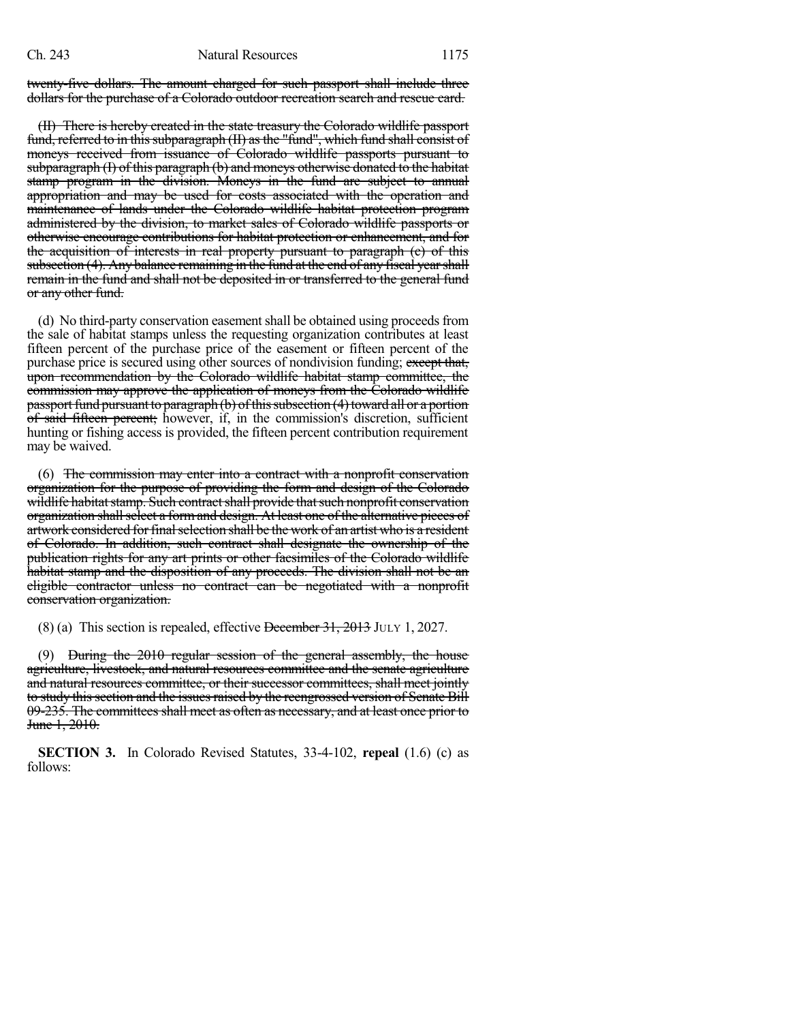twenty-five dollars. The amount charged for such passport shall include three dollars for the purchase of a Colorado outdoor recreation search and rescue card.

(II) There is hereby created in the state treasury the Colorado wildlife passport fund, referred to in this subparagraph (II) as the "fund", which fund shall consist of moneys received from issuance of Colorado wildlife passports pursuant to subparagraph (I) of this paragraph (b) and moneys otherwise donated to the habitat stamp program in the division. Moneys in the fund are subject to annual appropriation and may be used for costs associated with the operation and maintenance of lands under the Colorado wildlife habitat protection program administered by the division, to market sales of Colorado wildlife passports or otherwise encourage contributions for habitat protection or enhancement, and for the acquisition of interests in real property pursuant to paragraph (e) of this subsection (4). Any balance remaining in the fund at the end of any fiscal yearshall remain in the fund and shall not be deposited in or transferred to the general fund or any other fund.

(d) No third-party conservation easement shall be obtained using proceeds from the sale of habitat stamps unless the requesting organization contributes at least fifteen percent of the purchase price of the easement or fifteen percent of the purchase price is secured using other sources of nondivision funding; except that, upon recommendation by the Colorado wildlife habitat stamp committee, the commission may approve the application of moneys from the Colorado wildlife passport fund pursuant to paragraph (b) of this subsection (4) toward all or a portion of said fifteen percent; however, if, in the commission's discretion, sufficient hunting or fishing access is provided, the fifteen percent contribution requirement may be waived.

(6) The commission may enter into a contract with a nonprofit conservation organization for the purpose of providing the form and design of the Colorado wildlife habitat stamp. Such contract shall provide that such nonprofit conservation organization shall select a form and design. At least one of the alternative pieces of artwork considered for final selection shall be the work of an artist who is a resident of Colorado. In addition, such contract shall designate the ownership of the publication rights for any art prints or other facsimiles of the Colorado wildlife habitat stamp and the disposition of any proceeds. The division shall not be an eligible contractor unless no contract can be negotiated with a nonprofit conservation organization.

(8) (a) This section is repealed, effective December 31, 2013 JULY 1, 2027.

(9) During the 2010 regular session of the general assembly, the house agriculture, livestock, and natural resources committee and the senate agriculture and natural resources committee, or their successor committees, shall meet jointly to study this section and the issues raised by the reengrossed version of Senate Bill 09-235. The committees shall meet as often as necessary, and at least once prior to June 1, 2010.

**SECTION 3.** In Colorado Revised Statutes, 33-4-102, **repeal** (1.6) (c) as follows: